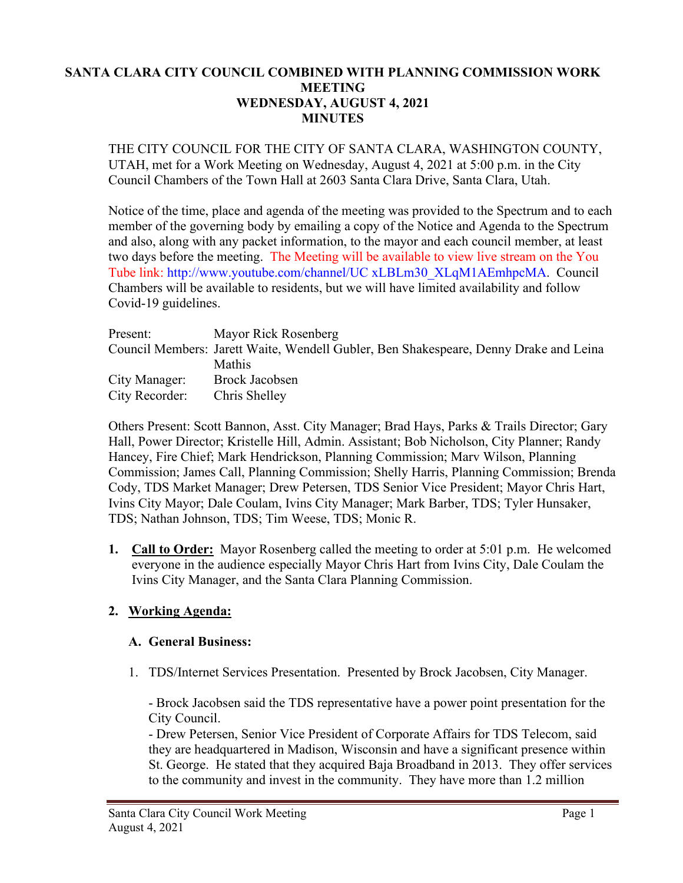### **SANTA CLARA CITY COUNCIL COMBINED WITH PLANNING COMMISSION WORK MEETING WEDNESDAY, AUGUST 4, 2021 MINUTES**

THE CITY COUNCIL FOR THE CITY OF SANTA CLARA, WASHINGTON COUNTY, UTAH, met for a Work Meeting on Wednesday, August 4, 2021 at 5:00 p.m. in the City Council Chambers of the Town Hall at 2603 Santa Clara Drive, Santa Clara, Utah.

Notice of the time, place and agenda of the meeting was provided to the Spectrum and to each member of the governing body by emailing a copy of the Notice and Agenda to the Spectrum and also, along with any packet information, to the mayor and each council member, at least two days before the meeting. The Meeting will be available to view live stream on the You Tube link: http://www.youtube.com/channel/UC xLBLm30\_XLqM1AEmhpcMA. Council Chambers will be available to residents, but we will have limited availability and follow Covid-19 guidelines.

| Present:       | Mayor Rick Rosenberg                                                                  |
|----------------|---------------------------------------------------------------------------------------|
|                | Council Members: Jarett Waite, Wendell Gubler, Ben Shakespeare, Denny Drake and Leina |
|                | <b>Mathis</b>                                                                         |
| City Manager:  | Brock Jacobsen                                                                        |
| City Recorder: | Chris Shelley                                                                         |

Others Present: Scott Bannon, Asst. City Manager; Brad Hays, Parks & Trails Director; Gary Hall, Power Director; Kristelle Hill, Admin. Assistant; Bob Nicholson, City Planner; Randy Hancey, Fire Chief; Mark Hendrickson, Planning Commission; Marv Wilson, Planning Commission; James Call, Planning Commission; Shelly Harris, Planning Commission; Brenda Cody, TDS Market Manager; Drew Petersen, TDS Senior Vice President; Mayor Chris Hart, Ivins City Mayor; Dale Coulam, Ivins City Manager; Mark Barber, TDS; Tyler Hunsaker, TDS; Nathan Johnson, TDS; Tim Weese, TDS; Monic R.

**1. Call to Order:** Mayor Rosenberg called the meeting to order at 5:01 p.m. He welcomed everyone in the audience especially Mayor Chris Hart from Ivins City, Dale Coulam the Ivins City Manager, and the Santa Clara Planning Commission.

## **2. Working Agenda:**

## **A. General Business:**

1. TDS/Internet Services Presentation. Presented by Brock Jacobsen, City Manager.

- Brock Jacobsen said the TDS representative have a power point presentation for the City Council.

- Drew Petersen, Senior Vice President of Corporate Affairs for TDS Telecom, said they are headquartered in Madison, Wisconsin and have a significant presence within St. George. He stated that they acquired Baja Broadband in 2013. They offer services to the community and invest in the community. They have more than 1.2 million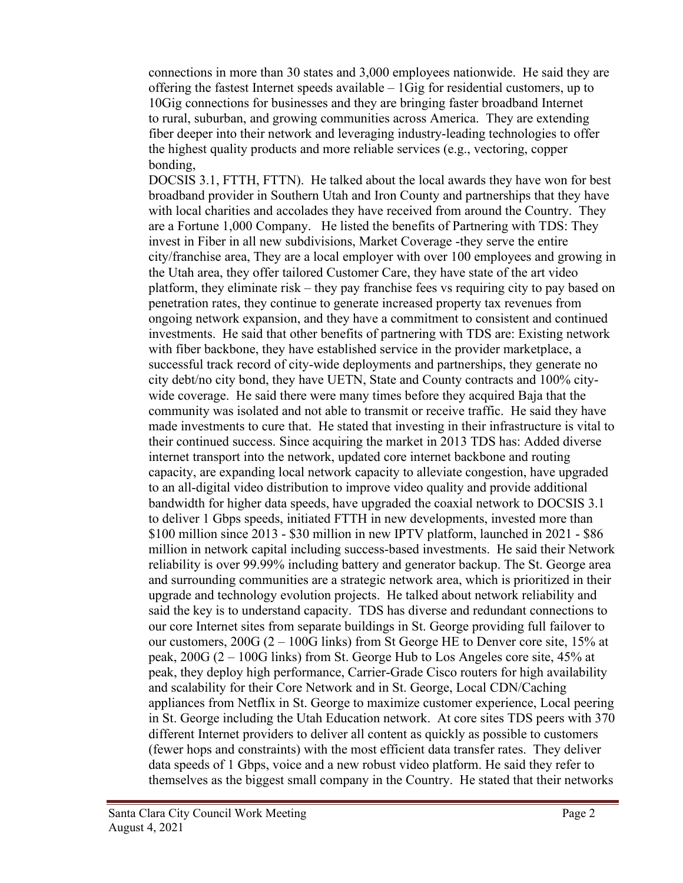connections in more than 30 states and 3,000 employees nationwide. He said they are offering the fastest Internet speeds available – 1Gig for residential customers, up to 10Gig connections for businesses and they are bringing faster broadband Internet to rural, suburban, and growing communities across America. They are extending fiber deeper into their network and leveraging industry-leading technologies to offer the highest quality products and more reliable services (e.g., vectoring, copper bonding,

DOCSIS 3.1, FTTH, FTTN). He talked about the local awards they have won for best broadband provider in Southern Utah and Iron County and partnerships that they have with local charities and accolades they have received from around the Country. They are a Fortune 1,000 Company. He listed the benefits of Partnering with TDS: They invest in Fiber in all new subdivisions, Market Coverage -they serve the entire city/franchise area, They are a local employer with over 100 employees and growing in the Utah area, they offer tailored Customer Care, they have state of the art video platform, they eliminate risk – they pay franchise fees vs requiring city to pay based on penetration rates, they continue to generate increased property tax revenues from ongoing network expansion, and they have a commitment to consistent and continued investments. He said that other benefits of partnering with TDS are: Existing network with fiber backbone, they have established service in the provider marketplace, a successful track record of city-wide deployments and partnerships, they generate no city debt/no city bond, they have UETN, State and County contracts and 100% citywide coverage. He said there were many times before they acquired Baja that the community was isolated and not able to transmit or receive traffic. He said they have made investments to cure that. He stated that investing in their infrastructure is vital to their continued success. Since acquiring the market in 2013 TDS has: Added diverse internet transport into the network, updated core internet backbone and routing capacity, are expanding local network capacity to alleviate congestion, have upgraded to an all-digital video distribution to improve video quality and provide additional bandwidth for higher data speeds, have upgraded the coaxial network to DOCSIS 3.1 to deliver 1 Gbps speeds, initiated FTTH in new developments, invested more than \$100 million since 2013 - \$30 million in new IPTV platform, launched in 2021 - \$86 million in network capital including success-based investments. He said their Network reliability is over 99.99% including battery and generator backup. The St. George area and surrounding communities are a strategic network area, which is prioritized in their upgrade and technology evolution projects. He talked about network reliability and said the key is to understand capacity. TDS has diverse and redundant connections to our core Internet sites from separate buildings in St. George providing full failover to our customers, 200G (2 – 100G links) from St George HE to Denver core site, 15% at peak, 200G (2 – 100G links) from St. George Hub to Los Angeles core site, 45% at peak, they deploy high performance, Carrier-Grade Cisco routers for high availability and scalability for their Core Network and in St. George, Local CDN/Caching appliances from Netflix in St. George to maximize customer experience, Local peering in St. George including the Utah Education network. At core sites TDS peers with 370 different Internet providers to deliver all content as quickly as possible to customers (fewer hops and constraints) with the most efficient data transfer rates. They deliver data speeds of 1 Gbps, voice and a new robust video platform. He said they refer to themselves as the biggest small company in the Country. He stated that their networks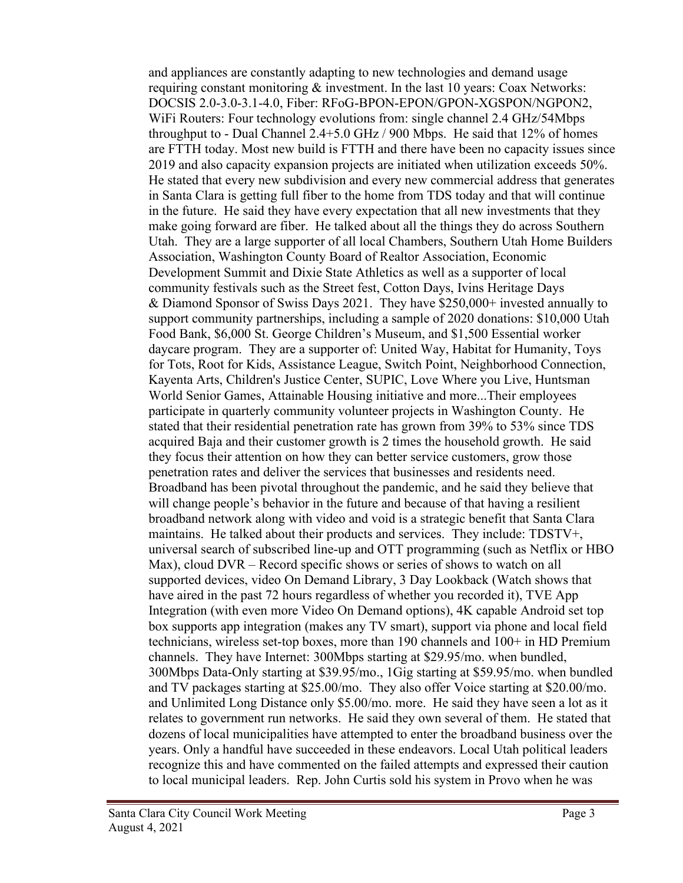and appliances are constantly adapting to new technologies and demand usage requiring constant monitoring & investment. In the last 10 years: Coax Networks: DOCSIS 2.0-3.0-3.1-4.0, Fiber: RFoG-BPON-EPON/GPON-XGSPON/NGPON2, WiFi Routers: Four technology evolutions from: single channel 2.4 GHz/54Mbps throughput to - Dual Channel 2.4+5.0 GHz / 900 Mbps. He said that 12% of homes are FTTH today. Most new build is FTTH and there have been no capacity issues since 2019 and also capacity expansion projects are initiated when utilization exceeds 50%. He stated that every new subdivision and every new commercial address that generates in Santa Clara is getting full fiber to the home from TDS today and that will continue in the future. He said they have every expectation that all new investments that they make going forward are fiber. He talked about all the things they do across Southern Utah. They are a large supporter of all local Chambers, Southern Utah Home Builders Association, Washington County Board of Realtor Association, Economic Development Summit and Dixie State Athletics as well as a supporter of local community festivals such as the Street fest, Cotton Days, Ivins Heritage Days & Diamond Sponsor of Swiss Days 2021. They have \$250,000+ invested annually to support community partnerships, including a sample of 2020 donations: \$10,000 Utah Food Bank, \$6,000 St. George Children's Museum, and \$1,500 Essential worker daycare program. They are a supporter of: United Way, Habitat for Humanity, Toys for Tots, Root for Kids, Assistance League, Switch Point, Neighborhood Connection, Kayenta Arts, Children's Justice Center, SUPIC, Love Where you Live, Huntsman World Senior Games, Attainable Housing initiative and more...Their employees participate in quarterly community volunteer projects in Washington County. He stated that their residential penetration rate has grown from 39% to 53% since TDS acquired Baja and their customer growth is 2 times the household growth. He said they focus their attention on how they can better service customers, grow those penetration rates and deliver the services that businesses and residents need. Broadband has been pivotal throughout the pandemic, and he said they believe that will change people's behavior in the future and because of that having a resilient broadband network along with video and void is a strategic benefit that Santa Clara maintains. He talked about their products and services. They include: TDSTV+, universal search of subscribed line-up and OTT programming (such as Netflix or HBO Max), cloud DVR – Record specific shows or series of shows to watch on all supported devices, video On Demand Library, 3 Day Lookback (Watch shows that have aired in the past 72 hours regardless of whether you recorded it), TVE App Integration (with even more Video On Demand options), 4K capable Android set top box supports app integration (makes any TV smart), support via phone and local field technicians, wireless set-top boxes, more than 190 channels and 100+ in HD Premium channels. They have Internet: 300Mbps starting at \$29.95/mo. when bundled, 300Mbps Data-Only starting at \$39.95/mo., 1Gig starting at \$59.95/mo. when bundled and TV packages starting at \$25.00/mo. They also offer Voice starting at \$20.00/mo. and Unlimited Long Distance only \$5.00/mo. more. He said they have seen a lot as it relates to government run networks. He said they own several of them. He stated that dozens of local municipalities have attempted to enter the broadband business over the years. Only a handful have succeeded in these endeavors. Local Utah political leaders recognize this and have commented on the failed attempts and expressed their caution to local municipal leaders. Rep. John Curtis sold his system in Provo when he was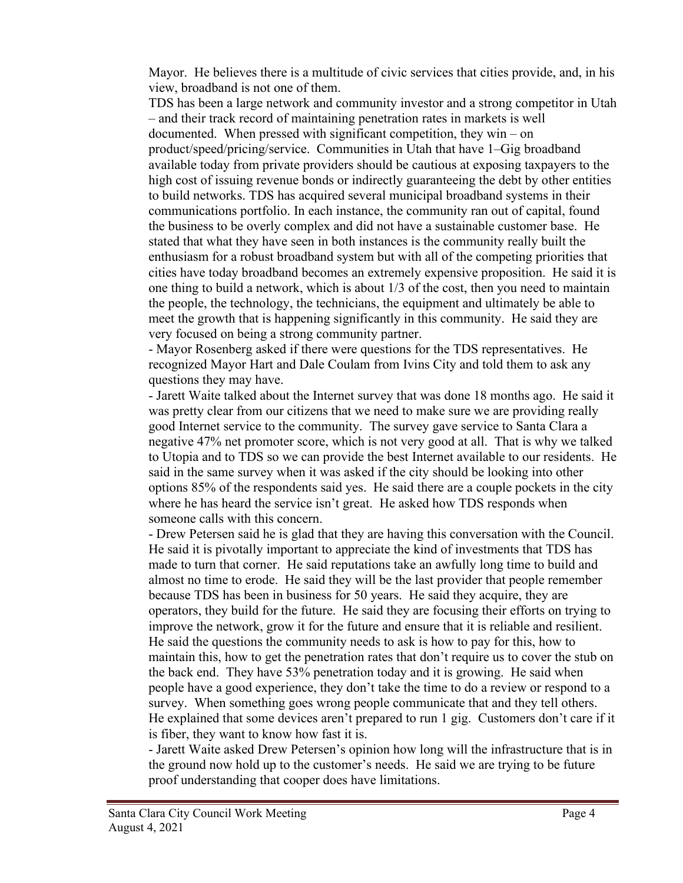Mayor. He believes there is a multitude of civic services that cities provide, and, in his view, broadband is not one of them.

TDS has been a large network and community investor and a strong competitor in Utah – and their track record of maintaining penetration rates in markets is well documented. When pressed with significant competition, they win – on product/speed/pricing/service. Communities in Utah that have 1–Gig broadband available today from private providers should be cautious at exposing taxpayers to the high cost of issuing revenue bonds or indirectly guaranteeing the debt by other entities to build networks. TDS has acquired several municipal broadband systems in their communications portfolio. In each instance, the community ran out of capital, found the business to be overly complex and did not have a sustainable customer base. He stated that what they have seen in both instances is the community really built the enthusiasm for a robust broadband system but with all of the competing priorities that cities have today broadband becomes an extremely expensive proposition. He said it is one thing to build a network, which is about 1/3 of the cost, then you need to maintain the people, the technology, the technicians, the equipment and ultimately be able to meet the growth that is happening significantly in this community. He said they are very focused on being a strong community partner.

- Mayor Rosenberg asked if there were questions for the TDS representatives. He recognized Mayor Hart and Dale Coulam from Ivins City and told them to ask any questions they may have.

- Jarett Waite talked about the Internet survey that was done 18 months ago. He said it was pretty clear from our citizens that we need to make sure we are providing really good Internet service to the community. The survey gave service to Santa Clara a negative 47% net promoter score, which is not very good at all. That is why we talked to Utopia and to TDS so we can provide the best Internet available to our residents. He said in the same survey when it was asked if the city should be looking into other options 85% of the respondents said yes. He said there are a couple pockets in the city where he has heard the service isn't great. He asked how TDS responds when someone calls with this concern.

- Drew Petersen said he is glad that they are having this conversation with the Council. He said it is pivotally important to appreciate the kind of investments that TDS has made to turn that corner. He said reputations take an awfully long time to build and almost no time to erode. He said they will be the last provider that people remember because TDS has been in business for 50 years. He said they acquire, they are operators, they build for the future. He said they are focusing their efforts on trying to improve the network, grow it for the future and ensure that it is reliable and resilient. He said the questions the community needs to ask is how to pay for this, how to maintain this, how to get the penetration rates that don't require us to cover the stub on the back end. They have 53% penetration today and it is growing. He said when people have a good experience, they don't take the time to do a review or respond to a survey. When something goes wrong people communicate that and they tell others. He explained that some devices aren't prepared to run 1 gig. Customers don't care if it is fiber, they want to know how fast it is.

- Jarett Waite asked Drew Petersen's opinion how long will the infrastructure that is in the ground now hold up to the customer's needs. He said we are trying to be future proof understanding that cooper does have limitations.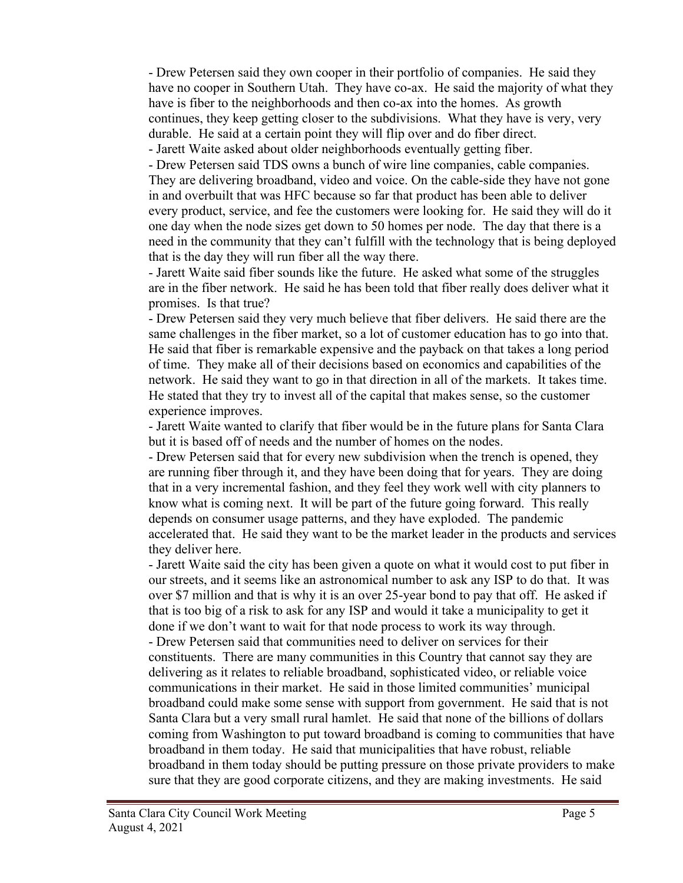- Drew Petersen said they own cooper in their portfolio of companies. He said they have no cooper in Southern Utah. They have co-ax. He said the majority of what they have is fiber to the neighborhoods and then co-ax into the homes. As growth continues, they keep getting closer to the subdivisions. What they have is very, very durable. He said at a certain point they will flip over and do fiber direct.

- Jarett Waite asked about older neighborhoods eventually getting fiber.

- Drew Petersen said TDS owns a bunch of wire line companies, cable companies. They are delivering broadband, video and voice. On the cable-side they have not gone in and overbuilt that was HFC because so far that product has been able to deliver every product, service, and fee the customers were looking for. He said they will do it one day when the node sizes get down to 50 homes per node. The day that there is a need in the community that they can't fulfill with the technology that is being deployed that is the day they will run fiber all the way there.

- Jarett Waite said fiber sounds like the future. He asked what some of the struggles are in the fiber network. He said he has been told that fiber really does deliver what it promises. Is that true?

- Drew Petersen said they very much believe that fiber delivers. He said there are the same challenges in the fiber market, so a lot of customer education has to go into that. He said that fiber is remarkable expensive and the payback on that takes a long period of time. They make all of their decisions based on economics and capabilities of the network. He said they want to go in that direction in all of the markets. It takes time. He stated that they try to invest all of the capital that makes sense, so the customer experience improves.

- Jarett Waite wanted to clarify that fiber would be in the future plans for Santa Clara but it is based off of needs and the number of homes on the nodes.

- Drew Petersen said that for every new subdivision when the trench is opened, they are running fiber through it, and they have been doing that for years. They are doing that in a very incremental fashion, and they feel they work well with city planners to know what is coming next. It will be part of the future going forward. This really depends on consumer usage patterns, and they have exploded. The pandemic accelerated that. He said they want to be the market leader in the products and services they deliver here.

- Jarett Waite said the city has been given a quote on what it would cost to put fiber in our streets, and it seems like an astronomical number to ask any ISP to do that. It was over \$7 million and that is why it is an over 25-year bond to pay that off. He asked if that is too big of a risk to ask for any ISP and would it take a municipality to get it done if we don't want to wait for that node process to work its way through.

- Drew Petersen said that communities need to deliver on services for their constituents. There are many communities in this Country that cannot say they are delivering as it relates to reliable broadband, sophisticated video, or reliable voice communications in their market. He said in those limited communities' municipal broadband could make some sense with support from government. He said that is not Santa Clara but a very small rural hamlet. He said that none of the billions of dollars coming from Washington to put toward broadband is coming to communities that have broadband in them today. He said that municipalities that have robust, reliable broadband in them today should be putting pressure on those private providers to make sure that they are good corporate citizens, and they are making investments. He said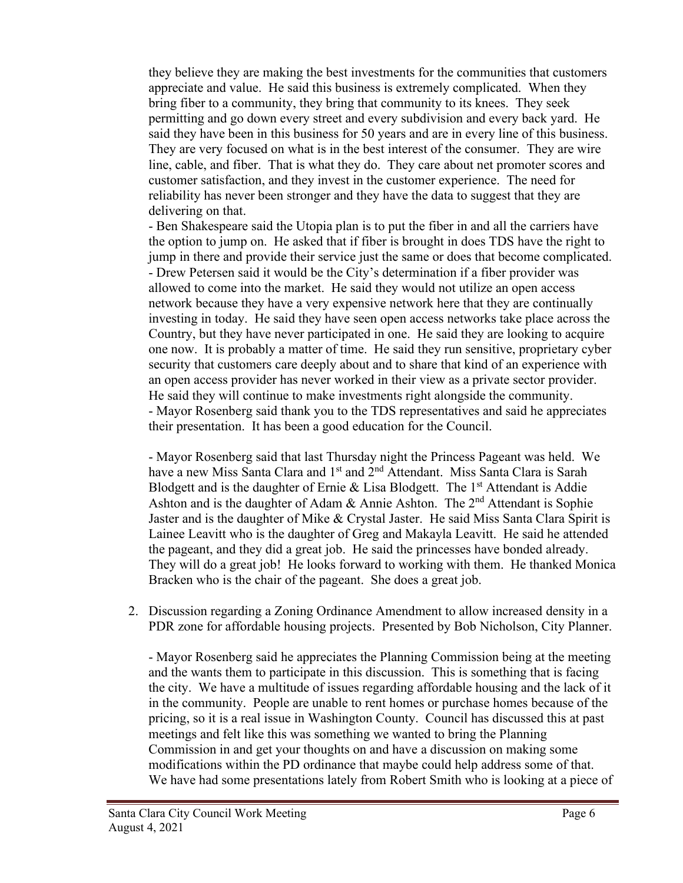they believe they are making the best investments for the communities that customers appreciate and value. He said this business is extremely complicated. When they bring fiber to a community, they bring that community to its knees. They seek permitting and go down every street and every subdivision and every back yard. He said they have been in this business for 50 years and are in every line of this business. They are very focused on what is in the best interest of the consumer. They are wire line, cable, and fiber. That is what they do. They care about net promoter scores and customer satisfaction, and they invest in the customer experience. The need for reliability has never been stronger and they have the data to suggest that they are delivering on that.

- Ben Shakespeare said the Utopia plan is to put the fiber in and all the carriers have the option to jump on. He asked that if fiber is brought in does TDS have the right to jump in there and provide their service just the same or does that become complicated. - Drew Petersen said it would be the City's determination if a fiber provider was allowed to come into the market. He said they would not utilize an open access network because they have a very expensive network here that they are continually investing in today. He said they have seen open access networks take place across the Country, but they have never participated in one. He said they are looking to acquire one now. It is probably a matter of time. He said they run sensitive, proprietary cyber security that customers care deeply about and to share that kind of an experience with an open access provider has never worked in their view as a private sector provider. He said they will continue to make investments right alongside the community. - Mayor Rosenberg said thank you to the TDS representatives and said he appreciates their presentation. It has been a good education for the Council.

- Mayor Rosenberg said that last Thursday night the Princess Pageant was held. We have a new Miss Santa Clara and 1<sup>st</sup> and 2<sup>nd</sup> Attendant. Miss Santa Clara is Sarah Blodgett and is the daughter of Ernie  $\&$  Lisa Blodgett. The 1<sup>st</sup> Attendant is Addie Ashton and is the daughter of Adam & Annie Ashton. The  $2<sup>nd</sup>$  Attendant is Sophie Jaster and is the daughter of Mike & Crystal Jaster. He said Miss Santa Clara Spirit is Lainee Leavitt who is the daughter of Greg and Makayla Leavitt. He said he attended the pageant, and they did a great job. He said the princesses have bonded already. They will do a great job! He looks forward to working with them. He thanked Monica Bracken who is the chair of the pageant. She does a great job.

2. Discussion regarding a Zoning Ordinance Amendment to allow increased density in a PDR zone for affordable housing projects. Presented by Bob Nicholson, City Planner.

- Mayor Rosenberg said he appreciates the Planning Commission being at the meeting and the wants them to participate in this discussion. This is something that is facing the city. We have a multitude of issues regarding affordable housing and the lack of it in the community. People are unable to rent homes or purchase homes because of the pricing, so it is a real issue in Washington County. Council has discussed this at past meetings and felt like this was something we wanted to bring the Planning Commission in and get your thoughts on and have a discussion on making some modifications within the PD ordinance that maybe could help address some of that. We have had some presentations lately from Robert Smith who is looking at a piece of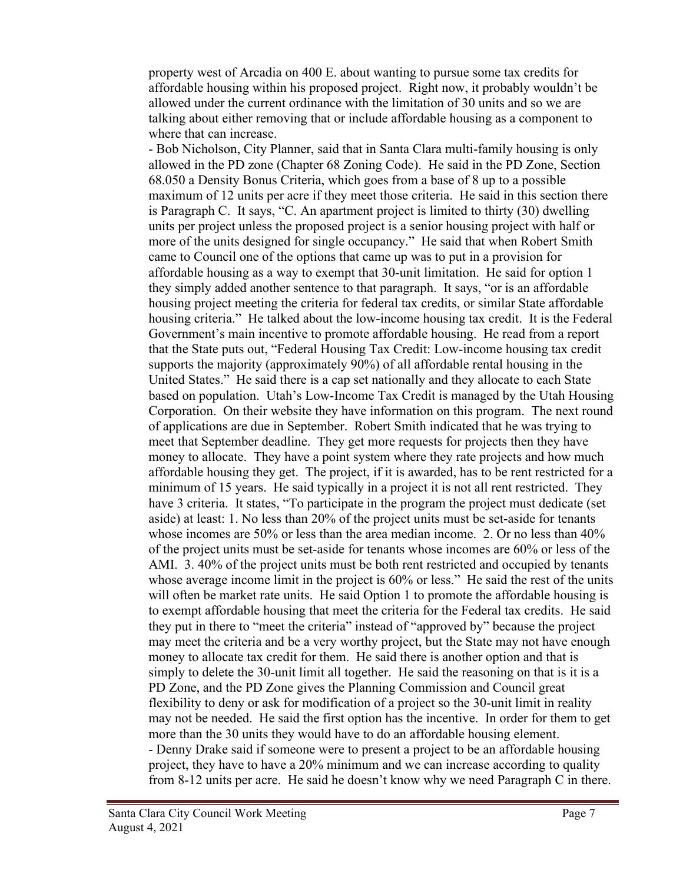property west of Arcadia on 400 E. about wanting to pursue some tax credits for affordable housing within his proposed project. Right now, it probably wouldn't be allowed under the current ordinance with the limitation of 30 units and so we are talking about either removing that or include affordable housing as a component to where that can increase.

- Bob Nicholson, City Planner, said that in Santa Clara multi-family housing is only allowed in the PD zone (Chapter 68 Zoning Code). He said in the PD Zone, Section 68.050 a Density Bonus Criteria, which goes from a base of 8 up to a possible maximum of 12 units per acre if they meet those criteria. He said in this section there is Paragraph C. It says, "C. An apartment project is limited to thirty (30) dwelling units per project unless the proposed project is a senior housing project with half or more of the units designed for single occupancy." He said that when Robert Smith came to Council one of the options that came up was to put in a provision for affordable housing as a way to exempt that 30-unit limitation. He said for option 1 they simply added another sentence to that paragraph. It says, "or is an affordable housing project meeting the criteria for federal tax credits, or similar State affordable housing criteria." He talked about the low-income housing tax credit. It is the Federal Government's main incentive to promote affordable housing. He read from a report that the State puts out, "Federal Housing Tax Credit: Low-income housing tax credit supports the majority (approximately 90%) of all affordable rental housing in the United States." He said there is a cap set nationally and they allocate to each State based on population. Utah's Low-Income Tax Credit is managed by the Utah Housing Corporation. On their website they have information on this program. The next round of applications are due in September. Robert Smith indicated that he was trying to meet that September deadline. They get more requests for projects then they have money to allocate. They have a point system where they rate projects and how much affordable housing they get. The project, if it is awarded, has to be rent restricted for a minimum of 15 years. He said typically in a project it is not all rent restricted. They have 3 criteria. It states, "To participate in the program the project must dedicate (set aside) at least: 1. No less than 20% of the project units must be set-aside for tenants whose incomes are 50% or less than the area median income. 2. Or no less than 40% of the project units must be set-aside for tenants whose incomes are 60% or less of the AMI. 3. 40% of the project units must be both rent restricted and occupied by tenants whose average income limit in the project is 60% or less." He said the rest of the units will often be market rate units. He said Option 1 to promote the affordable housing is to exempt affordable housing that meet the criteria for the Federal tax credits. He said they put in there to "meet the criteria" instead of "approved by" because the project may meet the criteria and be a very worthy project, but the State may not have enough money to allocate tax credit for them. He said there is another option and that is simply to delete the 30-unit limit all together. He said the reasoning on that is it is a PD Zone, and the PD Zone gives the Planning Commission and Council great flexibility to deny or ask for modification of a project so the 30-unit limit in reality may not be needed. He said the first option has the incentive. In order for them to get more than the 30 units they would have to do an affordable housing element. - Denny Drake said if someone were to present a project to be an affordable housing project, they have to have a 20% minimum and we can increase according to quality from 8-12 units per acre. He said he doesn't know why we need Paragraph C in there.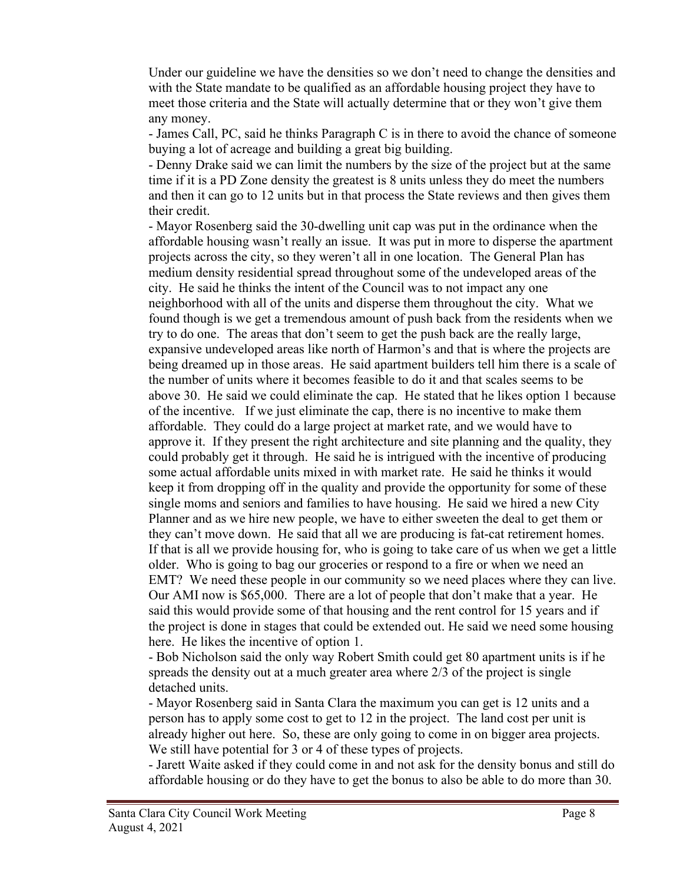Under our guideline we have the densities so we don't need to change the densities and with the State mandate to be qualified as an affordable housing project they have to meet those criteria and the State will actually determine that or they won't give them any money.

- James Call, PC, said he thinks Paragraph C is in there to avoid the chance of someone buying a lot of acreage and building a great big building.

- Denny Drake said we can limit the numbers by the size of the project but at the same time if it is a PD Zone density the greatest is 8 units unless they do meet the numbers and then it can go to 12 units but in that process the State reviews and then gives them their credit.

- Mayor Rosenberg said the 30-dwelling unit cap was put in the ordinance when the affordable housing wasn't really an issue. It was put in more to disperse the apartment projects across the city, so they weren't all in one location. The General Plan has medium density residential spread throughout some of the undeveloped areas of the city. He said he thinks the intent of the Council was to not impact any one neighborhood with all of the units and disperse them throughout the city. What we found though is we get a tremendous amount of push back from the residents when we try to do one. The areas that don't seem to get the push back are the really large, expansive undeveloped areas like north of Harmon's and that is where the projects are being dreamed up in those areas. He said apartment builders tell him there is a scale of the number of units where it becomes feasible to do it and that scales seems to be above 30. He said we could eliminate the cap. He stated that he likes option 1 because of the incentive. If we just eliminate the cap, there is no incentive to make them affordable. They could do a large project at market rate, and we would have to approve it. If they present the right architecture and site planning and the quality, they could probably get it through. He said he is intrigued with the incentive of producing some actual affordable units mixed in with market rate. He said he thinks it would keep it from dropping off in the quality and provide the opportunity for some of these single moms and seniors and families to have housing. He said we hired a new City Planner and as we hire new people, we have to either sweeten the deal to get them or they can't move down. He said that all we are producing is fat-cat retirement homes. If that is all we provide housing for, who is going to take care of us when we get a little older. Who is going to bag our groceries or respond to a fire or when we need an EMT? We need these people in our community so we need places where they can live. Our AMI now is \$65,000. There are a lot of people that don't make that a year. He said this would provide some of that housing and the rent control for 15 years and if the project is done in stages that could be extended out. He said we need some housing here. He likes the incentive of option 1.

- Bob Nicholson said the only way Robert Smith could get 80 apartment units is if he spreads the density out at a much greater area where 2/3 of the project is single detached units.

- Mayor Rosenberg said in Santa Clara the maximum you can get is 12 units and a person has to apply some cost to get to 12 in the project. The land cost per unit is already higher out here. So, these are only going to come in on bigger area projects. We still have potential for 3 or 4 of these types of projects.

- Jarett Waite asked if they could come in and not ask for the density bonus and still do affordable housing or do they have to get the bonus to also be able to do more than 30.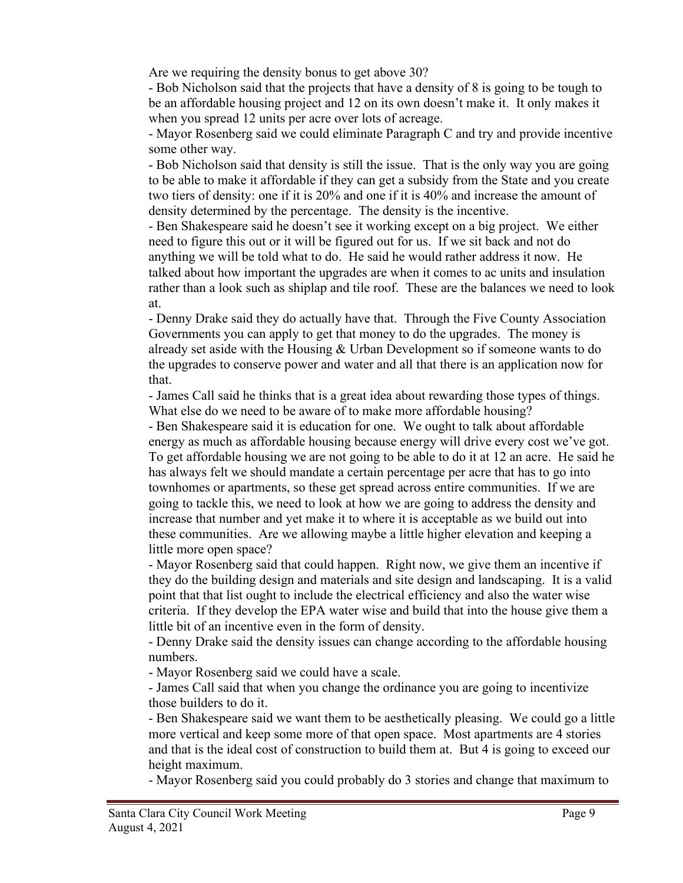Are we requiring the density bonus to get above 30?

- Bob Nicholson said that the projects that have a density of 8 is going to be tough to be an affordable housing project and 12 on its own doesn't make it. It only makes it when you spread 12 units per acre over lots of acreage.

- Mayor Rosenberg said we could eliminate Paragraph C and try and provide incentive some other way.

- Bob Nicholson said that density is still the issue. That is the only way you are going to be able to make it affordable if they can get a subsidy from the State and you create two tiers of density: one if it is 20% and one if it is 40% and increase the amount of density determined by the percentage. The density is the incentive.

- Ben Shakespeare said he doesn't see it working except on a big project. We either need to figure this out or it will be figured out for us. If we sit back and not do anything we will be told what to do. He said he would rather address it now. He talked about how important the upgrades are when it comes to ac units and insulation rather than a look such as shiplap and tile roof. These are the balances we need to look at.

- Denny Drake said they do actually have that. Through the Five County Association Governments you can apply to get that money to do the upgrades. The money is already set aside with the Housing & Urban Development so if someone wants to do the upgrades to conserve power and water and all that there is an application now for that.

- James Call said he thinks that is a great idea about rewarding those types of things. What else do we need to be aware of to make more affordable housing?

- Ben Shakespeare said it is education for one. We ought to talk about affordable energy as much as affordable housing because energy will drive every cost we've got. To get affordable housing we are not going to be able to do it at 12 an acre. He said he has always felt we should mandate a certain percentage per acre that has to go into townhomes or apartments, so these get spread across entire communities. If we are going to tackle this, we need to look at how we are going to address the density and increase that number and yet make it to where it is acceptable as we build out into these communities. Are we allowing maybe a little higher elevation and keeping a little more open space?

- Mayor Rosenberg said that could happen. Right now, we give them an incentive if they do the building design and materials and site design and landscaping. It is a valid point that that list ought to include the electrical efficiency and also the water wise criteria. If they develop the EPA water wise and build that into the house give them a little bit of an incentive even in the form of density.

- Denny Drake said the density issues can change according to the affordable housing numbers.

- Mayor Rosenberg said we could have a scale.

- James Call said that when you change the ordinance you are going to incentivize those builders to do it.

- Ben Shakespeare said we want them to be aesthetically pleasing. We could go a little more vertical and keep some more of that open space. Most apartments are 4 stories and that is the ideal cost of construction to build them at. But 4 is going to exceed our height maximum.

- Mayor Rosenberg said you could probably do 3 stories and change that maximum to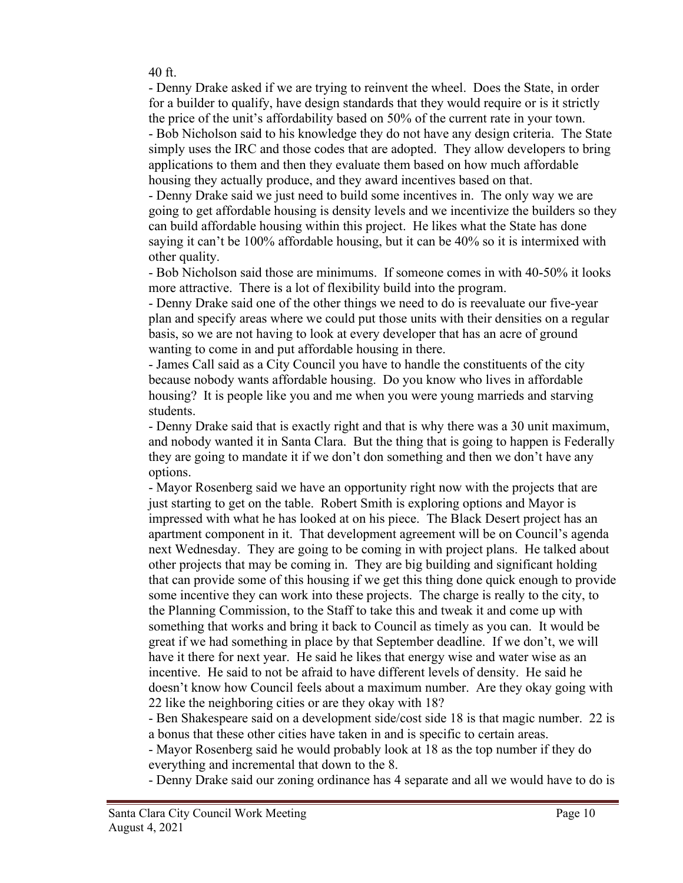40 ft.

- Denny Drake asked if we are trying to reinvent the wheel. Does the State, in order for a builder to qualify, have design standards that they would require or is it strictly the price of the unit's affordability based on 50% of the current rate in your town. - Bob Nicholson said to his knowledge they do not have any design criteria. The State

simply uses the IRC and those codes that are adopted. They allow developers to bring applications to them and then they evaluate them based on how much affordable housing they actually produce, and they award incentives based on that.

- Denny Drake said we just need to build some incentives in. The only way we are going to get affordable housing is density levels and we incentivize the builders so they can build affordable housing within this project. He likes what the State has done saying it can't be 100% affordable housing, but it can be 40% so it is intermixed with other quality.

- Bob Nicholson said those are minimums. If someone comes in with 40-50% it looks more attractive. There is a lot of flexibility build into the program.

- Denny Drake said one of the other things we need to do is reevaluate our five-year plan and specify areas where we could put those units with their densities on a regular basis, so we are not having to look at every developer that has an acre of ground wanting to come in and put affordable housing in there.

- James Call said as a City Council you have to handle the constituents of the city because nobody wants affordable housing. Do you know who lives in affordable housing? It is people like you and me when you were young marrieds and starving students.

- Denny Drake said that is exactly right and that is why there was a 30 unit maximum, and nobody wanted it in Santa Clara. But the thing that is going to happen is Federally they are going to mandate it if we don't don something and then we don't have any options.

- Mayor Rosenberg said we have an opportunity right now with the projects that are just starting to get on the table. Robert Smith is exploring options and Mayor is impressed with what he has looked at on his piece. The Black Desert project has an apartment component in it. That development agreement will be on Council's agenda next Wednesday. They are going to be coming in with project plans. He talked about other projects that may be coming in. They are big building and significant holding that can provide some of this housing if we get this thing done quick enough to provide some incentive they can work into these projects. The charge is really to the city, to the Planning Commission, to the Staff to take this and tweak it and come up with something that works and bring it back to Council as timely as you can. It would be great if we had something in place by that September deadline. If we don't, we will have it there for next year. He said he likes that energy wise and water wise as an incentive. He said to not be afraid to have different levels of density. He said he doesn't know how Council feels about a maximum number. Are they okay going with 22 like the neighboring cities or are they okay with 18?

- Ben Shakespeare said on a development side/cost side 18 is that magic number. 22 is a bonus that these other cities have taken in and is specific to certain areas.

- Mayor Rosenberg said he would probably look at 18 as the top number if they do everything and incremental that down to the 8.

- Denny Drake said our zoning ordinance has 4 separate and all we would have to do is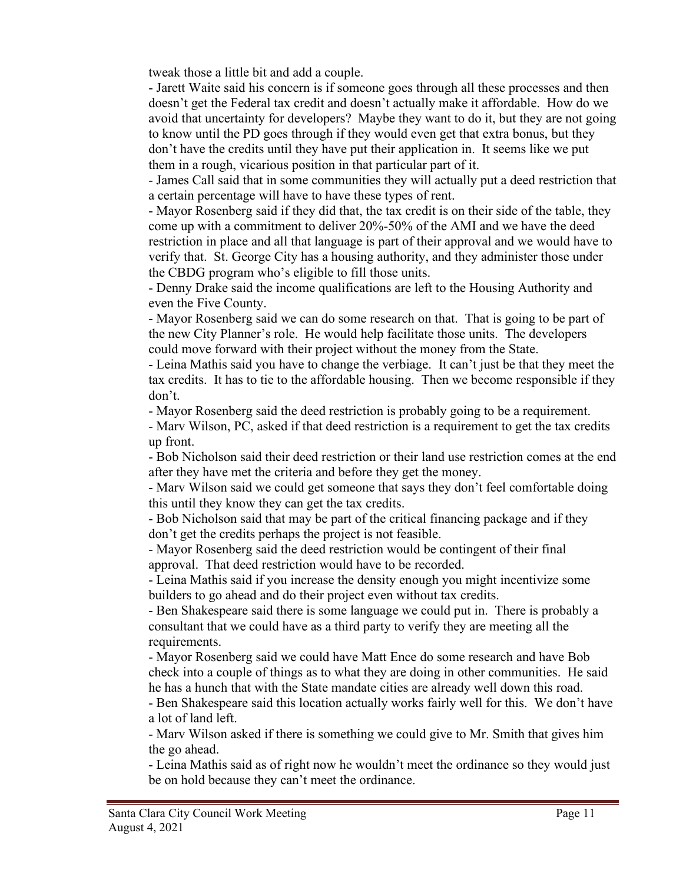tweak those a little bit and add a couple.

- Jarett Waite said his concern is if someone goes through all these processes and then doesn't get the Federal tax credit and doesn't actually make it affordable. How do we avoid that uncertainty for developers? Maybe they want to do it, but they are not going to know until the PD goes through if they would even get that extra bonus, but they don't have the credits until they have put their application in. It seems like we put them in a rough, vicarious position in that particular part of it.

- James Call said that in some communities they will actually put a deed restriction that a certain percentage will have to have these types of rent.

- Mayor Rosenberg said if they did that, the tax credit is on their side of the table, they come up with a commitment to deliver 20%-50% of the AMI and we have the deed restriction in place and all that language is part of their approval and we would have to verify that. St. George City has a housing authority, and they administer those under the CBDG program who's eligible to fill those units.

- Denny Drake said the income qualifications are left to the Housing Authority and even the Five County.

- Mayor Rosenberg said we can do some research on that. That is going to be part of the new City Planner's role. He would help facilitate those units. The developers could move forward with their project without the money from the State.

- Leina Mathis said you have to change the verbiage. It can't just be that they meet the tax credits. It has to tie to the affordable housing. Then we become responsible if they don't.

- Mayor Rosenberg said the deed restriction is probably going to be a requirement.

- Marv Wilson, PC, asked if that deed restriction is a requirement to get the tax credits up front.

- Bob Nicholson said their deed restriction or their land use restriction comes at the end after they have met the criteria and before they get the money.

- Marv Wilson said we could get someone that says they don't feel comfortable doing this until they know they can get the tax credits.

- Bob Nicholson said that may be part of the critical financing package and if they don't get the credits perhaps the project is not feasible.

- Mayor Rosenberg said the deed restriction would be contingent of their final approval. That deed restriction would have to be recorded.

- Leina Mathis said if you increase the density enough you might incentivize some builders to go ahead and do their project even without tax credits.

- Ben Shakespeare said there is some language we could put in. There is probably a consultant that we could have as a third party to verify they are meeting all the requirements.

- Mayor Rosenberg said we could have Matt Ence do some research and have Bob check into a couple of things as to what they are doing in other communities. He said he has a hunch that with the State mandate cities are already well down this road.

- Ben Shakespeare said this location actually works fairly well for this. We don't have a lot of land left.

- Marv Wilson asked if there is something we could give to Mr. Smith that gives him the go ahead.

- Leina Mathis said as of right now he wouldn't meet the ordinance so they would just be on hold because they can't meet the ordinance.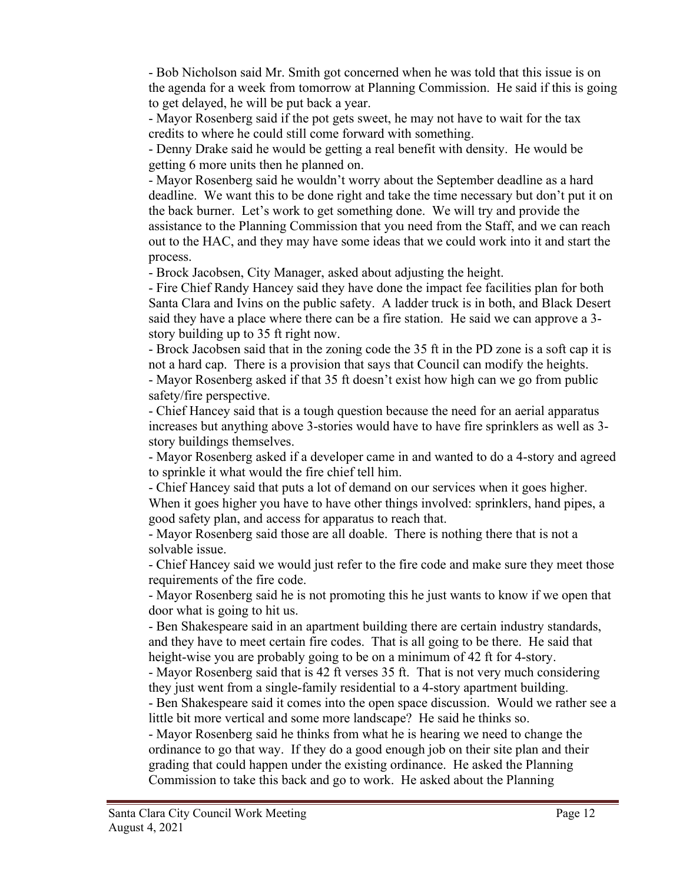- Bob Nicholson said Mr. Smith got concerned when he was told that this issue is on the agenda for a week from tomorrow at Planning Commission. He said if this is going to get delayed, he will be put back a year.

- Mayor Rosenberg said if the pot gets sweet, he may not have to wait for the tax credits to where he could still come forward with something.

- Denny Drake said he would be getting a real benefit with density. He would be getting 6 more units then he planned on.

- Mayor Rosenberg said he wouldn't worry about the September deadline as a hard deadline. We want this to be done right and take the time necessary but don't put it on the back burner. Let's work to get something done. We will try and provide the assistance to the Planning Commission that you need from the Staff, and we can reach out to the HAC, and they may have some ideas that we could work into it and start the process.

- Brock Jacobsen, City Manager, asked about adjusting the height.

- Fire Chief Randy Hancey said they have done the impact fee facilities plan for both Santa Clara and Ivins on the public safety. A ladder truck is in both, and Black Desert said they have a place where there can be a fire station. He said we can approve a 3 story building up to 35 ft right now.

- Brock Jacobsen said that in the zoning code the 35 ft in the PD zone is a soft cap it is not a hard cap. There is a provision that says that Council can modify the heights. - Mayor Rosenberg asked if that 35 ft doesn't exist how high can we go from public safety/fire perspective.

- Chief Hancey said that is a tough question because the need for an aerial apparatus increases but anything above 3-stories would have to have fire sprinklers as well as 3 story buildings themselves.

- Mayor Rosenberg asked if a developer came in and wanted to do a 4-story and agreed to sprinkle it what would the fire chief tell him.

- Chief Hancey said that puts a lot of demand on our services when it goes higher. When it goes higher you have to have other things involved: sprinklers, hand pipes, a good safety plan, and access for apparatus to reach that.

- Mayor Rosenberg said those are all doable. There is nothing there that is not a solvable issue.

- Chief Hancey said we would just refer to the fire code and make sure they meet those requirements of the fire code.

- Mayor Rosenberg said he is not promoting this he just wants to know if we open that door what is going to hit us.

- Ben Shakespeare said in an apartment building there are certain industry standards, and they have to meet certain fire codes. That is all going to be there. He said that height-wise you are probably going to be on a minimum of 42 ft for 4-story.

- Mayor Rosenberg said that is 42 ft verses 35 ft. That is not very much considering they just went from a single-family residential to a 4-story apartment building.

- Ben Shakespeare said it comes into the open space discussion. Would we rather see a little bit more vertical and some more landscape? He said he thinks so.

- Mayor Rosenberg said he thinks from what he is hearing we need to change the ordinance to go that way. If they do a good enough job on their site plan and their grading that could happen under the existing ordinance. He asked the Planning Commission to take this back and go to work. He asked about the Planning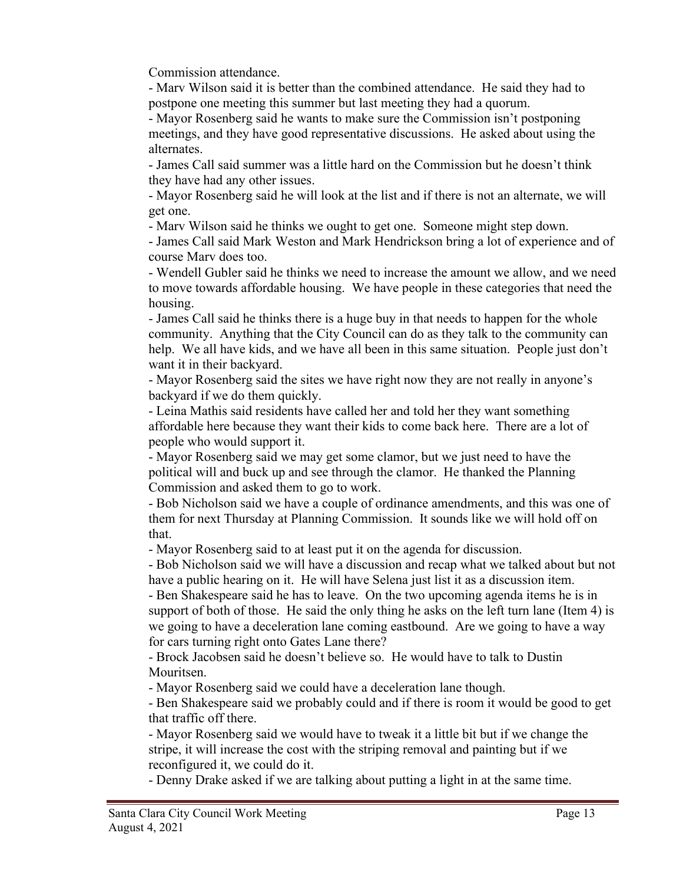Commission attendance.

- Marv Wilson said it is better than the combined attendance. He said they had to postpone one meeting this summer but last meeting they had a quorum.

- Mayor Rosenberg said he wants to make sure the Commission isn't postponing meetings, and they have good representative discussions. He asked about using the alternates.

- James Call said summer was a little hard on the Commission but he doesn't think they have had any other issues.

- Mayor Rosenberg said he will look at the list and if there is not an alternate, we will get one.

- Marv Wilson said he thinks we ought to get one. Someone might step down.

- James Call said Mark Weston and Mark Hendrickson bring a lot of experience and of course Marv does too.

- Wendell Gubler said he thinks we need to increase the amount we allow, and we need to move towards affordable housing. We have people in these categories that need the housing.

- James Call said he thinks there is a huge buy in that needs to happen for the whole community. Anything that the City Council can do as they talk to the community can help. We all have kids, and we have all been in this same situation. People just don't want it in their backyard.

- Mayor Rosenberg said the sites we have right now they are not really in anyone's backyard if we do them quickly.

- Leina Mathis said residents have called her and told her they want something affordable here because they want their kids to come back here. There are a lot of people who would support it.

- Mayor Rosenberg said we may get some clamor, but we just need to have the political will and buck up and see through the clamor. He thanked the Planning Commission and asked them to go to work.

- Bob Nicholson said we have a couple of ordinance amendments, and this was one of them for next Thursday at Planning Commission. It sounds like we will hold off on that.

- Mayor Rosenberg said to at least put it on the agenda for discussion.

- Bob Nicholson said we will have a discussion and recap what we talked about but not have a public hearing on it. He will have Selena just list it as a discussion item.

- Ben Shakespeare said he has to leave. On the two upcoming agenda items he is in support of both of those. He said the only thing he asks on the left turn lane (Item 4) is we going to have a deceleration lane coming eastbound. Are we going to have a way for cars turning right onto Gates Lane there?

- Brock Jacobsen said he doesn't believe so. He would have to talk to Dustin Mouritsen.

- Mayor Rosenberg said we could have a deceleration lane though.

- Ben Shakespeare said we probably could and if there is room it would be good to get that traffic off there.

- Mayor Rosenberg said we would have to tweak it a little bit but if we change the stripe, it will increase the cost with the striping removal and painting but if we reconfigured it, we could do it.

- Denny Drake asked if we are talking about putting a light in at the same time.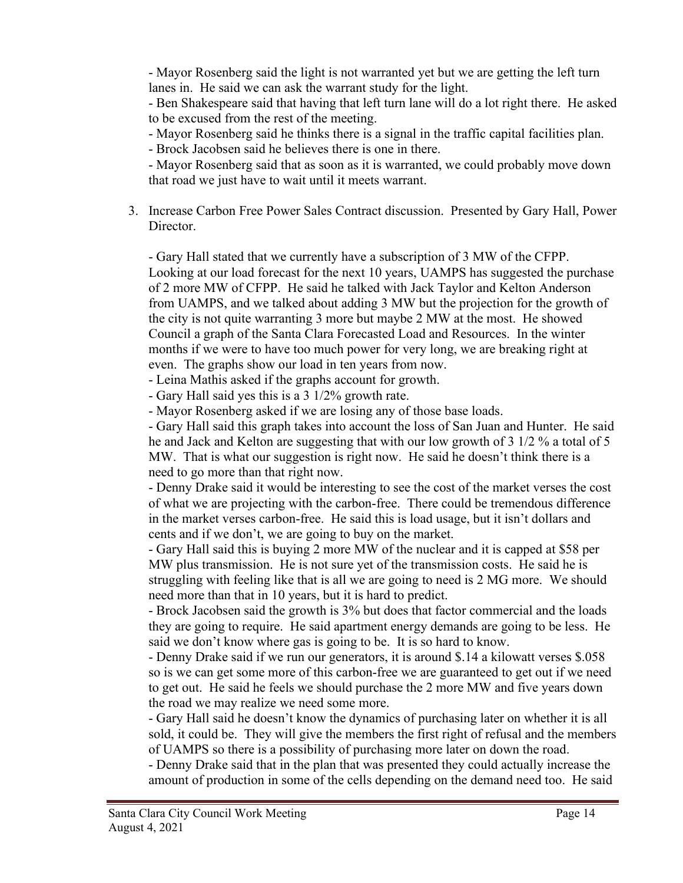- Mayor Rosenberg said the light is not warranted yet but we are getting the left turn lanes in. He said we can ask the warrant study for the light.

- Ben Shakespeare said that having that left turn lane will do a lot right there. He asked to be excused from the rest of the meeting.

- Mayor Rosenberg said he thinks there is a signal in the traffic capital facilities plan.

- Brock Jacobsen said he believes there is one in there.

- Mayor Rosenberg said that as soon as it is warranted, we could probably move down that road we just have to wait until it meets warrant.

3. Increase Carbon Free Power Sales Contract discussion. Presented by Gary Hall, Power Director.

- Gary Hall stated that we currently have a subscription of 3 MW of the CFPP. Looking at our load forecast for the next 10 years, UAMPS has suggested the purchase of 2 more MW of CFPP. He said he talked with Jack Taylor and Kelton Anderson from UAMPS, and we talked about adding 3 MW but the projection for the growth of the city is not quite warranting 3 more but maybe 2 MW at the most. He showed Council a graph of the Santa Clara Forecasted Load and Resources. In the winter months if we were to have too much power for very long, we are breaking right at even. The graphs show our load in ten years from now.

- Leina Mathis asked if the graphs account for growth.

- Gary Hall said yes this is a 3 1/2% growth rate.

- Mayor Rosenberg asked if we are losing any of those base loads.

- Gary Hall said this graph takes into account the loss of San Juan and Hunter. He said he and Jack and Kelton are suggesting that with our low growth of 3 1/2 % a total of 5 MW. That is what our suggestion is right now. He said he doesn't think there is a need to go more than that right now.

- Denny Drake said it would be interesting to see the cost of the market verses the cost of what we are projecting with the carbon-free. There could be tremendous difference in the market verses carbon-free. He said this is load usage, but it isn't dollars and cents and if we don't, we are going to buy on the market.

- Gary Hall said this is buying 2 more MW of the nuclear and it is capped at \$58 per MW plus transmission. He is not sure yet of the transmission costs. He said he is struggling with feeling like that is all we are going to need is 2 MG more. We should need more than that in 10 years, but it is hard to predict.

- Brock Jacobsen said the growth is 3% but does that factor commercial and the loads they are going to require. He said apartment energy demands are going to be less. He said we don't know where gas is going to be. It is so hard to know.

- Denny Drake said if we run our generators, it is around \$.14 a kilowatt verses \$.058 so is we can get some more of this carbon-free we are guaranteed to get out if we need to get out. He said he feels we should purchase the 2 more MW and five years down the road we may realize we need some more.

- Gary Hall said he doesn't know the dynamics of purchasing later on whether it is all sold, it could be. They will give the members the first right of refusal and the members of UAMPS so there is a possibility of purchasing more later on down the road.

- Denny Drake said that in the plan that was presented they could actually increase the amount of production in some of the cells depending on the demand need too. He said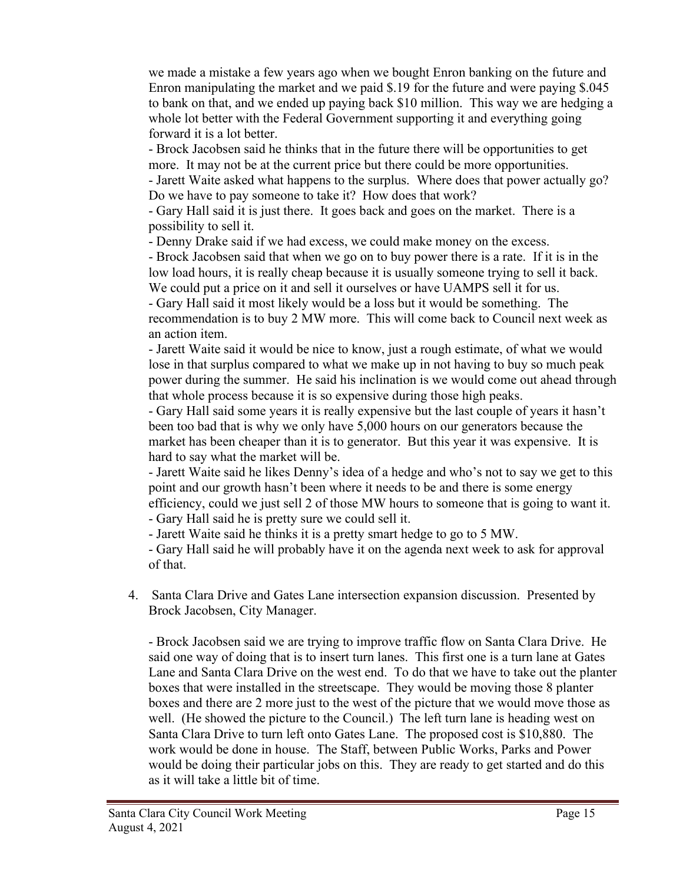we made a mistake a few years ago when we bought Enron banking on the future and Enron manipulating the market and we paid \$.19 for the future and were paying \$.045 to bank on that, and we ended up paying back \$10 million. This way we are hedging a whole lot better with the Federal Government supporting it and everything going forward it is a lot better.

- Brock Jacobsen said he thinks that in the future there will be opportunities to get more. It may not be at the current price but there could be more opportunities. - Jarett Waite asked what happens to the surplus. Where does that power actually go?

Do we have to pay someone to take it? How does that work?

- Gary Hall said it is just there. It goes back and goes on the market. There is a possibility to sell it.

- Denny Drake said if we had excess, we could make money on the excess.

- Brock Jacobsen said that when we go on to buy power there is a rate. If it is in the low load hours, it is really cheap because it is usually someone trying to sell it back. We could put a price on it and sell it ourselves or have UAMPS sell it for us.

- Gary Hall said it most likely would be a loss but it would be something. The recommendation is to buy 2 MW more. This will come back to Council next week as an action item.

- Jarett Waite said it would be nice to know, just a rough estimate, of what we would lose in that surplus compared to what we make up in not having to buy so much peak power during the summer. He said his inclination is we would come out ahead through that whole process because it is so expensive during those high peaks.

- Gary Hall said some years it is really expensive but the last couple of years it hasn't been too bad that is why we only have 5,000 hours on our generators because the market has been cheaper than it is to generator. But this year it was expensive. It is hard to say what the market will be.

- Jarett Waite said he likes Denny's idea of a hedge and who's not to say we get to this point and our growth hasn't been where it needs to be and there is some energy efficiency, could we just sell 2 of those MW hours to someone that is going to want it. - Gary Hall said he is pretty sure we could sell it.

- Jarett Waite said he thinks it is a pretty smart hedge to go to 5 MW.

- Gary Hall said he will probably have it on the agenda next week to ask for approval of that.

4. Santa Clara Drive and Gates Lane intersection expansion discussion. Presented by Brock Jacobsen, City Manager.

- Brock Jacobsen said we are trying to improve traffic flow on Santa Clara Drive. He said one way of doing that is to insert turn lanes. This first one is a turn lane at Gates Lane and Santa Clara Drive on the west end. To do that we have to take out the planter boxes that were installed in the streetscape. They would be moving those 8 planter boxes and there are 2 more just to the west of the picture that we would move those as well. (He showed the picture to the Council.) The left turn lane is heading west on Santa Clara Drive to turn left onto Gates Lane. The proposed cost is \$10,880. The work would be done in house. The Staff, between Public Works, Parks and Power would be doing their particular jobs on this. They are ready to get started and do this as it will take a little bit of time.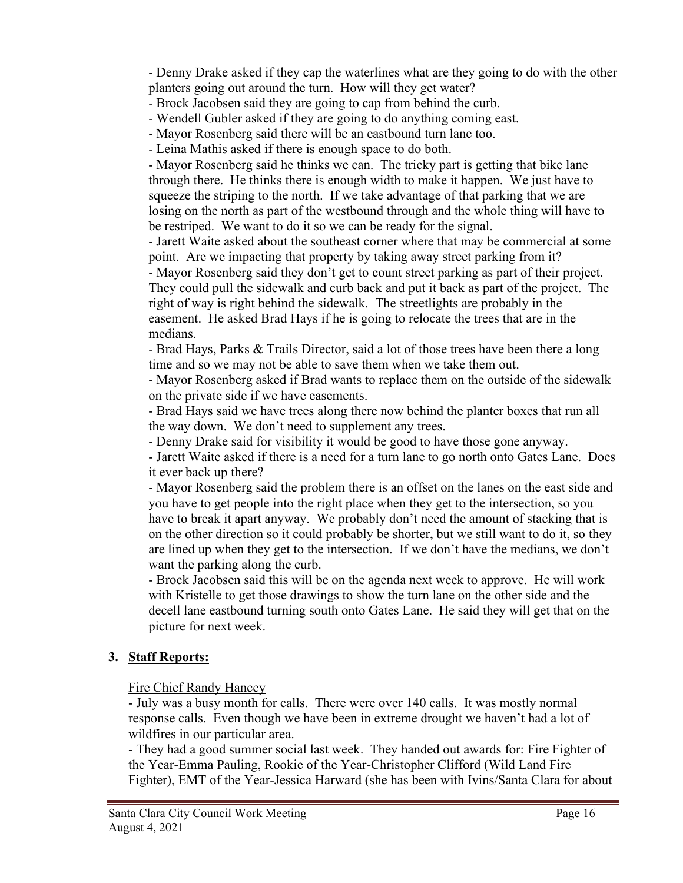- Denny Drake asked if they cap the waterlines what are they going to do with the other planters going out around the turn. How will they get water?

- Brock Jacobsen said they are going to cap from behind the curb.
- Wendell Gubler asked if they are going to do anything coming east.
- Mayor Rosenberg said there will be an eastbound turn lane too.
- Leina Mathis asked if there is enough space to do both.

- Mayor Rosenberg said he thinks we can. The tricky part is getting that bike lane through there. He thinks there is enough width to make it happen. We just have to squeeze the striping to the north. If we take advantage of that parking that we are losing on the north as part of the westbound through and the whole thing will have to be restriped. We want to do it so we can be ready for the signal.

- Jarett Waite asked about the southeast corner where that may be commercial at some point. Are we impacting that property by taking away street parking from it?

- Mayor Rosenberg said they don't get to count street parking as part of their project. They could pull the sidewalk and curb back and put it back as part of the project. The right of way is right behind the sidewalk. The streetlights are probably in the easement. He asked Brad Hays if he is going to relocate the trees that are in the medians.

- Brad Hays, Parks & Trails Director, said a lot of those trees have been there a long time and so we may not be able to save them when we take them out.

- Mayor Rosenberg asked if Brad wants to replace them on the outside of the sidewalk on the private side if we have easements.

- Brad Hays said we have trees along there now behind the planter boxes that run all the way down. We don't need to supplement any trees.

- Denny Drake said for visibility it would be good to have those gone anyway.

- Jarett Waite asked if there is a need for a turn lane to go north onto Gates Lane. Does it ever back up there?

- Mayor Rosenberg said the problem there is an offset on the lanes on the east side and you have to get people into the right place when they get to the intersection, so you have to break it apart anyway. We probably don't need the amount of stacking that is on the other direction so it could probably be shorter, but we still want to do it, so they are lined up when they get to the intersection. If we don't have the medians, we don't want the parking along the curb.

- Brock Jacobsen said this will be on the agenda next week to approve. He will work with Kristelle to get those drawings to show the turn lane on the other side and the decell lane eastbound turning south onto Gates Lane. He said they will get that on the picture for next week.

# **3. Staff Reports:**

Fire Chief Randy Hancey

- July was a busy month for calls. There were over 140 calls. It was mostly normal response calls. Even though we have been in extreme drought we haven't had a lot of wildfires in our particular area.

- They had a good summer social last week. They handed out awards for: Fire Fighter of the Year-Emma Pauling, Rookie of the Year-Christopher Clifford (Wild Land Fire Fighter), EMT of the Year-Jessica Harward (she has been with Ivins/Santa Clara for about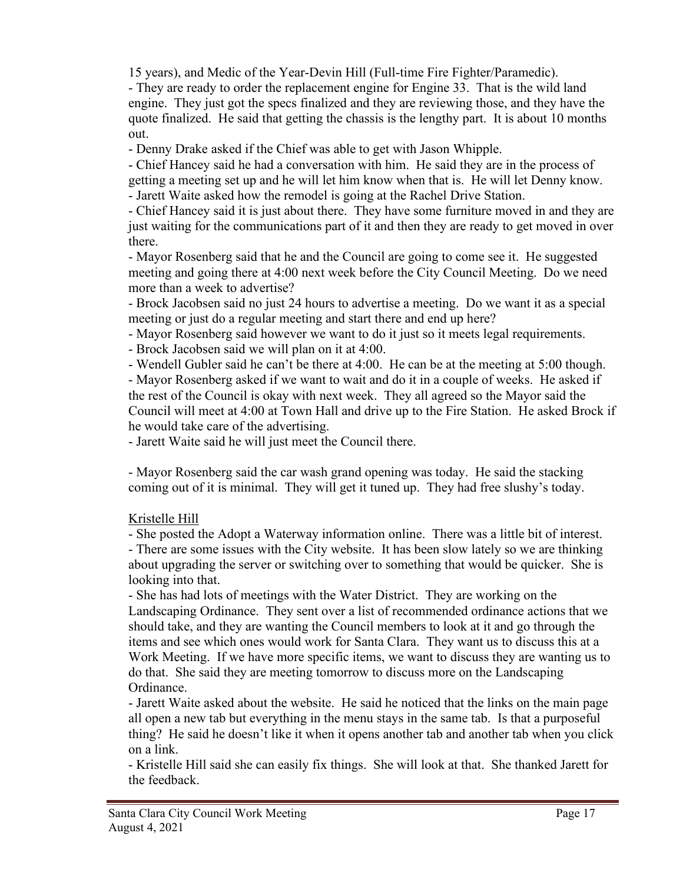15 years), and Medic of the Year-Devin Hill (Full-time Fire Fighter/Paramedic).

- They are ready to order the replacement engine for Engine 33. That is the wild land engine. They just got the specs finalized and they are reviewing those, and they have the quote finalized. He said that getting the chassis is the lengthy part. It is about 10 months out.

- Denny Drake asked if the Chief was able to get with Jason Whipple.

- Chief Hancey said he had a conversation with him. He said they are in the process of getting a meeting set up and he will let him know when that is. He will let Denny know.

- Jarett Waite asked how the remodel is going at the Rachel Drive Station.

- Chief Hancey said it is just about there. They have some furniture moved in and they are just waiting for the communications part of it and then they are ready to get moved in over there.

- Mayor Rosenberg said that he and the Council are going to come see it. He suggested meeting and going there at 4:00 next week before the City Council Meeting. Do we need more than a week to advertise?

- Brock Jacobsen said no just 24 hours to advertise a meeting. Do we want it as a special meeting or just do a regular meeting and start there and end up here?

- Mayor Rosenberg said however we want to do it just so it meets legal requirements.

- Brock Jacobsen said we will plan on it at 4:00.

- Wendell Gubler said he can't be there at 4:00. He can be at the meeting at 5:00 though.

- Mayor Rosenberg asked if we want to wait and do it in a couple of weeks. He asked if the rest of the Council is okay with next week. They all agreed so the Mayor said the Council will meet at 4:00 at Town Hall and drive up to the Fire Station. He asked Brock if he would take care of the advertising.

- Jarett Waite said he will just meet the Council there.

- Mayor Rosenberg said the car wash grand opening was today. He said the stacking coming out of it is minimal. They will get it tuned up. They had free slushy's today.

# Kristelle Hill

- She posted the Adopt a Waterway information online. There was a little bit of interest. - There are some issues with the City website. It has been slow lately so we are thinking about upgrading the server or switching over to something that would be quicker. She is looking into that.

- She has had lots of meetings with the Water District. They are working on the Landscaping Ordinance. They sent over a list of recommended ordinance actions that we should take, and they are wanting the Council members to look at it and go through the items and see which ones would work for Santa Clara. They want us to discuss this at a Work Meeting. If we have more specific items, we want to discuss they are wanting us to do that. She said they are meeting tomorrow to discuss more on the Landscaping Ordinance.

- Jarett Waite asked about the website. He said he noticed that the links on the main page all open a new tab but everything in the menu stays in the same tab. Is that a purposeful thing? He said he doesn't like it when it opens another tab and another tab when you click on a link.

- Kristelle Hill said she can easily fix things. She will look at that. She thanked Jarett for the feedback.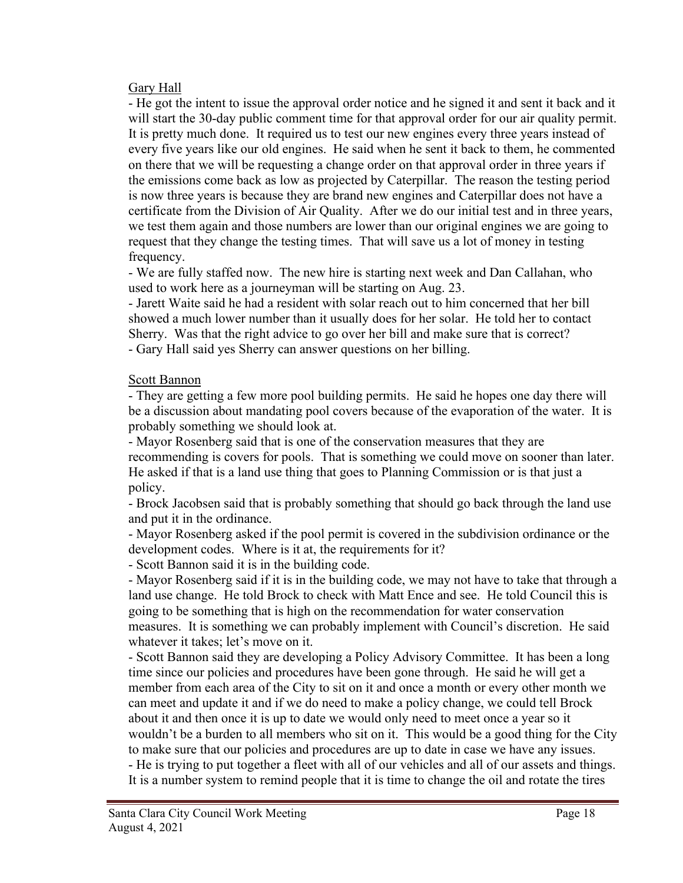### Gary Hall

- He got the intent to issue the approval order notice and he signed it and sent it back and it will start the 30-day public comment time for that approval order for our air quality permit. It is pretty much done. It required us to test our new engines every three years instead of every five years like our old engines. He said when he sent it back to them, he commented on there that we will be requesting a change order on that approval order in three years if the emissions come back as low as projected by Caterpillar. The reason the testing period is now three years is because they are brand new engines and Caterpillar does not have a certificate from the Division of Air Quality. After we do our initial test and in three years, we test them again and those numbers are lower than our original engines we are going to request that they change the testing times. That will save us a lot of money in testing frequency.

- We are fully staffed now. The new hire is starting next week and Dan Callahan, who used to work here as a journeyman will be starting on Aug. 23.

- Jarett Waite said he had a resident with solar reach out to him concerned that her bill showed a much lower number than it usually does for her solar. He told her to contact Sherry. Was that the right advice to go over her bill and make sure that is correct?

- Gary Hall said yes Sherry can answer questions on her billing.

## Scott Bannon

- They are getting a few more pool building permits. He said he hopes one day there will be a discussion about mandating pool covers because of the evaporation of the water. It is probably something we should look at.

- Mayor Rosenberg said that is one of the conservation measures that they are recommending is covers for pools. That is something we could move on sooner than later. He asked if that is a land use thing that goes to Planning Commission or is that just a policy.

- Brock Jacobsen said that is probably something that should go back through the land use and put it in the ordinance.

- Mayor Rosenberg asked if the pool permit is covered in the subdivision ordinance or the development codes. Where is it at, the requirements for it?

- Scott Bannon said it is in the building code.

- Mayor Rosenberg said if it is in the building code, we may not have to take that through a land use change. He told Brock to check with Matt Ence and see. He told Council this is going to be something that is high on the recommendation for water conservation measures. It is something we can probably implement with Council's discretion. He said whatever it takes; let's move on it.

- Scott Bannon said they are developing a Policy Advisory Committee. It has been a long time since our policies and procedures have been gone through. He said he will get a member from each area of the City to sit on it and once a month or every other month we can meet and update it and if we do need to make a policy change, we could tell Brock about it and then once it is up to date we would only need to meet once a year so it wouldn't be a burden to all members who sit on it. This would be a good thing for the City to make sure that our policies and procedures are up to date in case we have any issues. - He is trying to put together a fleet with all of our vehicles and all of our assets and things. It is a number system to remind people that it is time to change the oil and rotate the tires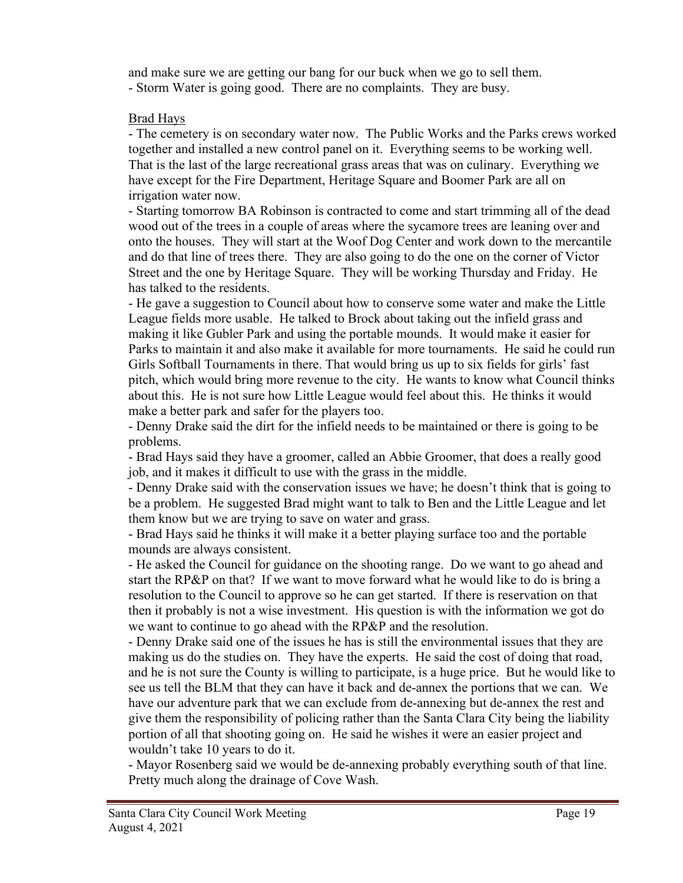and make sure we are getting our bang for our buck when we go to sell them. - Storm Water is going good. There are no complaints. They are busy.

### Brad Hays

- The cemetery is on secondary water now. The Public Works and the Parks crews worked together and installed a new control panel on it. Everything seems to be working well. That is the last of the large recreational grass areas that was on culinary. Everything we have except for the Fire Department, Heritage Square and Boomer Park are all on irrigation water now.

- Starting tomorrow BA Robinson is contracted to come and start trimming all of the dead wood out of the trees in a couple of areas where the sycamore trees are leaning over and onto the houses. They will start at the Woof Dog Center and work down to the mercantile and do that line of trees there. They are also going to do the one on the corner of Victor Street and the one by Heritage Square. They will be working Thursday and Friday. He has talked to the residents.

- He gave a suggestion to Council about how to conserve some water and make the Little League fields more usable. He talked to Brock about taking out the infield grass and making it like Gubler Park and using the portable mounds. It would make it easier for Parks to maintain it and also make it available for more tournaments. He said he could run Girls Softball Tournaments in there. That would bring us up to six fields for girls' fast pitch, which would bring more revenue to the city. He wants to know what Council thinks about this. He is not sure how Little League would feel about this. He thinks it would make a better park and safer for the players too.

- Denny Drake said the dirt for the infield needs to be maintained or there is going to be problems.

- Brad Hays said they have a groomer, called an Abbie Groomer, that does a really good job, and it makes it difficult to use with the grass in the middle.

- Denny Drake said with the conservation issues we have; he doesn't think that is going to be a problem. He suggested Brad might want to talk to Ben and the Little League and let them know but we are trying to save on water and grass.

- Brad Hays said he thinks it will make it a better playing surface too and the portable mounds are always consistent.

- He asked the Council for guidance on the shooting range. Do we want to go ahead and start the RP&P on that? If we want to move forward what he would like to do is bring a resolution to the Council to approve so he can get started. If there is reservation on that then it probably is not a wise investment. His question is with the information we got do we want to continue to go ahead with the RP&P and the resolution.

- Denny Drake said one of the issues he has is still the environmental issues that they are making us do the studies on. They have the experts. He said the cost of doing that road, and he is not sure the County is willing to participate, is a huge price. But he would like to see us tell the BLM that they can have it back and de-annex the portions that we can. We have our adventure park that we can exclude from de-annexing but de-annex the rest and give them the responsibility of policing rather than the Santa Clara City being the liability portion of all that shooting going on. He said he wishes it were an easier project and wouldn't take 10 years to do it.

- Mayor Rosenberg said we would be de-annexing probably everything south of that line. Pretty much along the drainage of Cove Wash.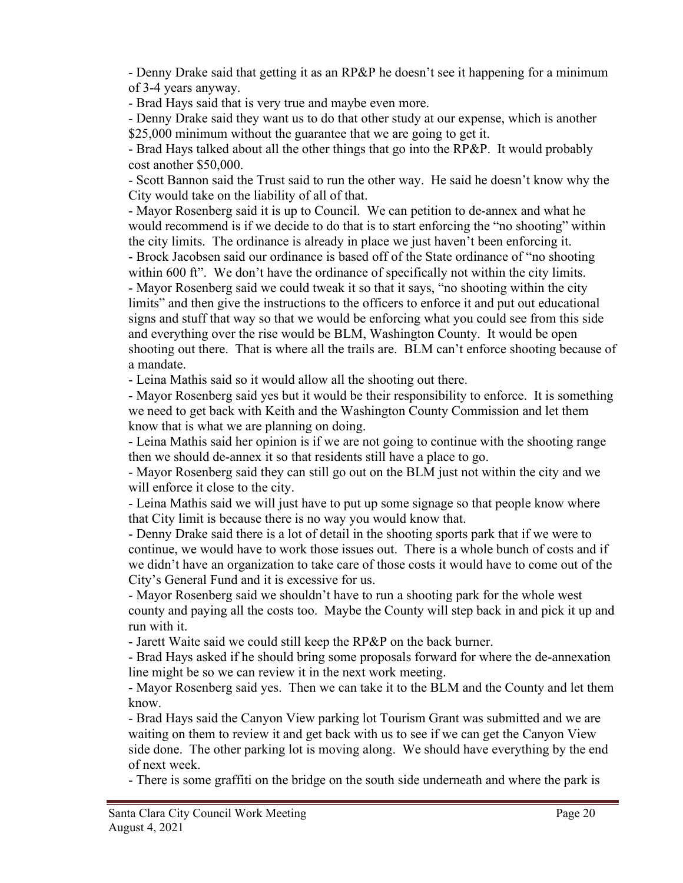- Denny Drake said that getting it as an RP&P he doesn't see it happening for a minimum of 3-4 years anyway.

- Brad Hays said that is very true and maybe even more.

- Denny Drake said they want us to do that other study at our expense, which is another \$25,000 minimum without the guarantee that we are going to get it.

- Brad Hays talked about all the other things that go into the RP&P. It would probably cost another \$50,000.

- Scott Bannon said the Trust said to run the other way. He said he doesn't know why the City would take on the liability of all of that.

- Mayor Rosenberg said it is up to Council. We can petition to de-annex and what he would recommend is if we decide to do that is to start enforcing the "no shooting" within the city limits. The ordinance is already in place we just haven't been enforcing it. - Brock Jacobsen said our ordinance is based off of the State ordinance of "no shooting within 600 ft". We don't have the ordinance of specifically not within the city limits. - Mayor Rosenberg said we could tweak it so that it says, "no shooting within the city limits" and then give the instructions to the officers to enforce it and put out educational signs and stuff that way so that we would be enforcing what you could see from this side and everything over the rise would be BLM, Washington County. It would be open shooting out there. That is where all the trails are. BLM can't enforce shooting because of a mandate.

- Leina Mathis said so it would allow all the shooting out there.

- Mayor Rosenberg said yes but it would be their responsibility to enforce. It is something we need to get back with Keith and the Washington County Commission and let them know that is what we are planning on doing.

- Leina Mathis said her opinion is if we are not going to continue with the shooting range then we should de-annex it so that residents still have a place to go.

- Mayor Rosenberg said they can still go out on the BLM just not within the city and we will enforce it close to the city.

- Leina Mathis said we will just have to put up some signage so that people know where that City limit is because there is no way you would know that.

- Denny Drake said there is a lot of detail in the shooting sports park that if we were to continue, we would have to work those issues out. There is a whole bunch of costs and if we didn't have an organization to take care of those costs it would have to come out of the City's General Fund and it is excessive for us.

- Mayor Rosenberg said we shouldn't have to run a shooting park for the whole west county and paying all the costs too. Maybe the County will step back in and pick it up and run with it.

- Jarett Waite said we could still keep the RP&P on the back burner.

- Brad Hays asked if he should bring some proposals forward for where the de-annexation line might be so we can review it in the next work meeting.

- Mayor Rosenberg said yes. Then we can take it to the BLM and the County and let them know.

- Brad Hays said the Canyon View parking lot Tourism Grant was submitted and we are waiting on them to review it and get back with us to see if we can get the Canyon View side done. The other parking lot is moving along. We should have everything by the end of next week.

- There is some graffiti on the bridge on the south side underneath and where the park is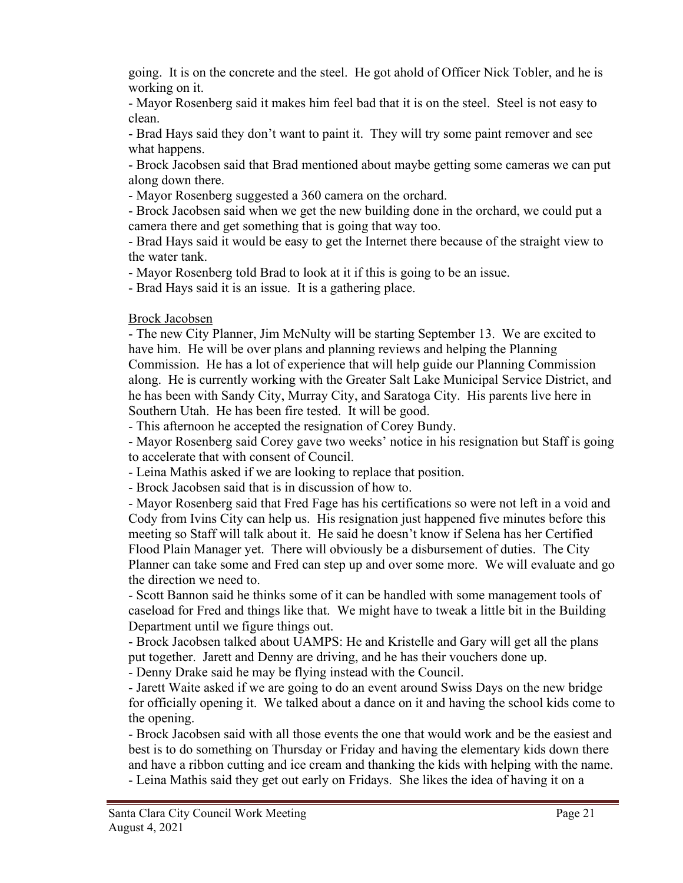going. It is on the concrete and the steel. He got ahold of Officer Nick Tobler, and he is working on it.

- Mayor Rosenberg said it makes him feel bad that it is on the steel. Steel is not easy to clean.

- Brad Hays said they don't want to paint it. They will try some paint remover and see what happens.

- Brock Jacobsen said that Brad mentioned about maybe getting some cameras we can put along down there.

- Mayor Rosenberg suggested a 360 camera on the orchard.

- Brock Jacobsen said when we get the new building done in the orchard, we could put a camera there and get something that is going that way too.

- Brad Hays said it would be easy to get the Internet there because of the straight view to the water tank.

- Mayor Rosenberg told Brad to look at it if this is going to be an issue.

- Brad Hays said it is an issue. It is a gathering place.

Brock Jacobsen

- The new City Planner, Jim McNulty will be starting September 13. We are excited to have him. He will be over plans and planning reviews and helping the Planning Commission. He has a lot of experience that will help guide our Planning Commission along. He is currently working with the Greater Salt Lake Municipal Service District, and he has been with Sandy City, Murray City, and Saratoga City. His parents live here in Southern Utah. He has been fire tested. It will be good.

- This afternoon he accepted the resignation of Corey Bundy.

- Mayor Rosenberg said Corey gave two weeks' notice in his resignation but Staff is going to accelerate that with consent of Council.

- Leina Mathis asked if we are looking to replace that position.

- Brock Jacobsen said that is in discussion of how to.

- Mayor Rosenberg said that Fred Fage has his certifications so were not left in a void and Cody from Ivins City can help us. His resignation just happened five minutes before this meeting so Staff will talk about it. He said he doesn't know if Selena has her Certified Flood Plain Manager yet. There will obviously be a disbursement of duties. The City Planner can take some and Fred can step up and over some more. We will evaluate and go the direction we need to.

- Scott Bannon said he thinks some of it can be handled with some management tools of caseload for Fred and things like that. We might have to tweak a little bit in the Building Department until we figure things out.

- Brock Jacobsen talked about UAMPS: He and Kristelle and Gary will get all the plans put together. Jarett and Denny are driving, and he has their vouchers done up.

- Denny Drake said he may be flying instead with the Council.

- Jarett Waite asked if we are going to do an event around Swiss Days on the new bridge for officially opening it. We talked about a dance on it and having the school kids come to the opening.

- Brock Jacobsen said with all those events the one that would work and be the easiest and best is to do something on Thursday or Friday and having the elementary kids down there and have a ribbon cutting and ice cream and thanking the kids with helping with the name.

- Leina Mathis said they get out early on Fridays. She likes the idea of having it on a